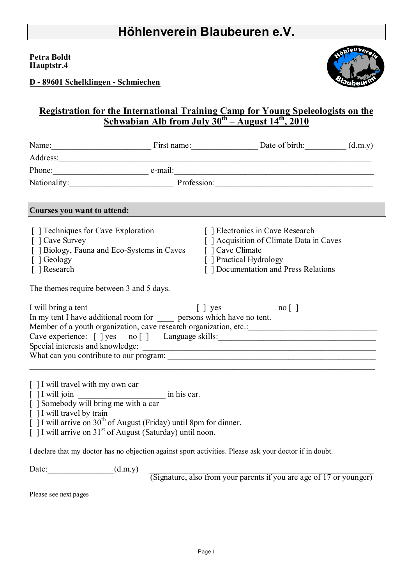#### **Petra Boldt Hauptstr.4**



**D - 89601 Schelklingen - Schmiechen**

## **Registration for the International Training Camp for Young Speleologists on the Schwabian Alb from July**  $30^{th}$  **– August**  $14^{th}$ **, 2010**

|                                                                                                                                                          | Name: [(d.m.y) First name: Date of birth: (d.m.y)                                                                                 |                                                                                                                                                                                                                           |  |
|----------------------------------------------------------------------------------------------------------------------------------------------------------|-----------------------------------------------------------------------------------------------------------------------------------|---------------------------------------------------------------------------------------------------------------------------------------------------------------------------------------------------------------------------|--|
|                                                                                                                                                          |                                                                                                                                   |                                                                                                                                                                                                                           |  |
|                                                                                                                                                          | Phone: e-mail: e-mail:                                                                                                            |                                                                                                                                                                                                                           |  |
|                                                                                                                                                          | Profession:                                                                                                                       |                                                                                                                                                                                                                           |  |
|                                                                                                                                                          |                                                                                                                                   |                                                                                                                                                                                                                           |  |
| Courses you want to attend:                                                                                                                              |                                                                                                                                   |                                                                                                                                                                                                                           |  |
| [ ] Techniques for Cave Exploration<br>[ ] Cave Survey<br>[ ] Geology<br>[ ] Research<br>The themes require between 3 and 5 days.<br>I will bring a tent | [ ] Biology, Fauna and Eco-Systems in Caves [ ] Cave Climate<br>In my tent I have additional room for persons which have no tent. | [ ] Electronics in Cave Research<br>[ ] Acquisition of Climate Data in Caves<br>[ ] Practical Hydrology<br>[] Documentation and Press Relations<br>$\begin{bmatrix} \end{bmatrix}$ yes no $\begin{bmatrix} \end{bmatrix}$ |  |
|                                                                                                                                                          |                                                                                                                                   |                                                                                                                                                                                                                           |  |
|                                                                                                                                                          |                                                                                                                                   |                                                                                                                                                                                                                           |  |
|                                                                                                                                                          |                                                                                                                                   |                                                                                                                                                                                                                           |  |
| [ ] I will travel with my own car<br>[ ] Somebody will bring me with a car<br>$\lceil$   I will travel by train                                          | $[ ]$ I will arrive on 30 <sup>th</sup> of August (Friday) until 8pm for dinner.                                                  |                                                                                                                                                                                                                           |  |

 $\int$  1 I will arrive on 31<sup>st</sup> of August (Saturday) until noon.

I declare that my doctor has no objection against sport activities. Please ask your doctor if in doubt.

Date:  $(d.m.y)$   $\qquad \qquad$ 

(Signature, also from your parents if you are age of 17 or younger)

Please see next pages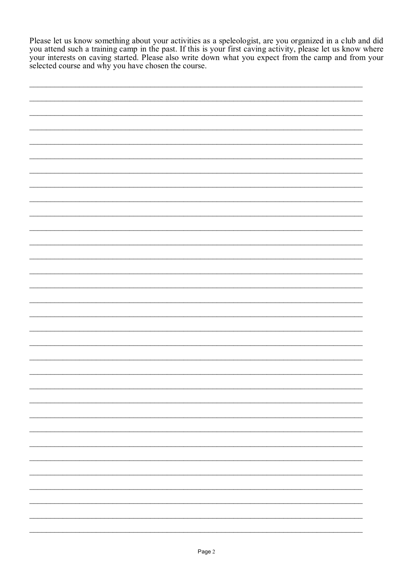Please let us know something about your activities as a speleologist, are you organized in a club and did<br>you attend such a training camp in the past. If this is your first caving activity, please let us know where<br>your in selected course and why you have chosen the course.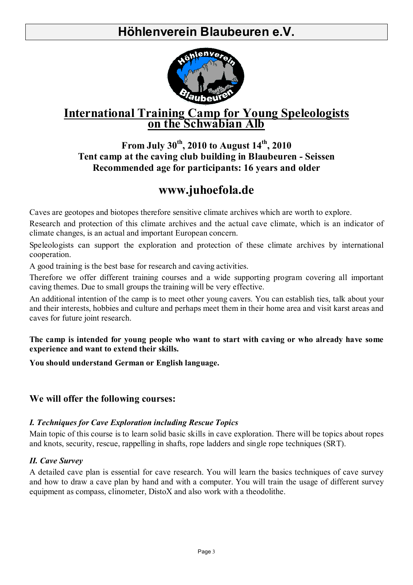# **Höhlenverein Blaubeuren e.V.**



# **International Training Camp for Young Speleologists**<br>on the Schwabian Alb

## **From July 30th, 2010 to August 14th, 2010 Tent camp at the caving club building in Blaubeuren - Seissen Recommended age for participants: 16 years and older**

# **www.juhoefola.de**

Caves are geotopes and biotopes therefore sensitive climate archives which are worth to explore.

Research and protection of this climate archives and the actual cave climate, which is an indicator of climate changes, is an actual and important European concern.

Speleologists can support the exploration and protection of these climate archives by international cooperation.

A good training is the best base for research and caving activities.

Therefore we offer different training courses and a wide supporting program covering all important caving themes. Due to small groups the training will be very effective.

An additional intention of the camp is to meet other young cavers. You can establish ties, talk about your and their interests, hobbies and culture and perhaps meet them in their home area and visit karst areas and caves for future joint research.

**The camp is intended for young people who want to start with caving or who already have some experience and want to extend their skills.** 

**You should understand German or English language.** 

### **We will offer the following courses:**

#### *I. Techniques for Cave Exploration including Rescue Topics*

Main topic of this course is to learn solid basic skills in cave exploration. There will be topics about ropes and knots, security, rescue, rappelling in shafts, rope ladders and single rope techniques (SRT).

#### *II. Cave Survey*

A detailed cave plan is essential for cave research. You will learn the basics techniques of cave survey and how to draw a cave plan by hand and with a computer. You will train the usage of different survey equipment as compass, clinometer, DistoX and also work with a theodolithe.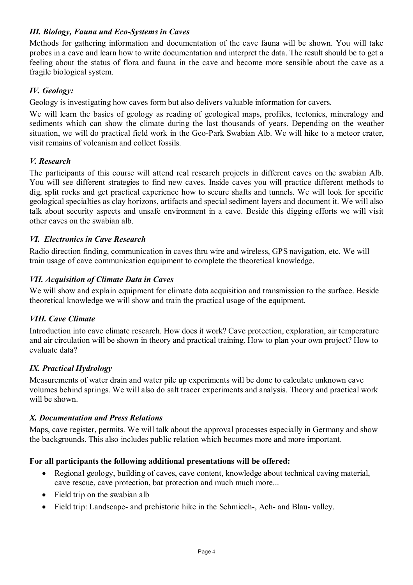#### *III. Biology, Fauna und Eco-Systems in Caves*

Methods for gathering information and documentation of the cave fauna will be shown. You will take probes in a cave and learn how to write documentation and interpret the data. The result should be to get a feeling about the status of flora and fauna in the cave and become more sensible about the cave as a fragile biological system.

#### *IV. Geology:*

Geology is investigating how caves form but also delivers valuable information for cavers.

We will learn the basics of geology as reading of geological maps, profiles, tectonics, mineralogy and sediments which can show the climate during the last thousands of years. Depending on the weather situation, we will do practical field work in the Geo-Park Swabian Alb. We will hike to a meteor crater, visit remains of volcanism and collect fossils.

#### *V. Research*

The participants of this course will attend real research projects in different caves on the swabian Alb. You will see different strategies to find new caves. Inside caves you will practice different methods to dig, split rocks and get practical experience how to secure shafts and tunnels. We will look for specific geological specialties as clay horizons, artifacts and special sediment layers and document it. We will also talk about security aspects and unsafe environment in a cave. Beside this digging efforts we will visit other caves on the swabian alb.

#### *VI. Electronics in Cave Research*

Radio direction finding, communication in caves thru wire and wireless, GPS navigation, etc. We will train usage of cave communication equipment to complete the theoretical knowledge.

#### *VII. Acquisition of Climate Data in Caves*

We will show and explain equipment for climate data acquisition and transmission to the surface. Beside theoretical knowledge we will show and train the practical usage of the equipment.

#### *VIII. Cave Climate*

Introduction into cave climate research. How does it work? Cave protection, exploration, air temperature and air circulation will be shown in theory and practical training. How to plan your own project? How to evaluate data?

#### *IX. Practical Hydrology*

Measurements of water drain and water pile up experiments will be done to calculate unknown cave volumes behind springs. We will also do salt tracer experiments and analysis. Theory and practical work will be shown.

#### *X. Documentation and Press Relations*

Maps, cave register, permits. We will talk about the approval processes especially in Germany and show the backgrounds. This also includes public relation which becomes more and more important.

#### **For all participants the following additional presentations will be offered:**

- Regional geology, building of caves, cave content, knowledge about technical caving material, cave rescue, cave protection, bat protection and much much more...
- Field trip on the swabian alb
- Field trip: Landscape- and prehistoric hike in the Schmiech-, Ach- and Blau- valley.